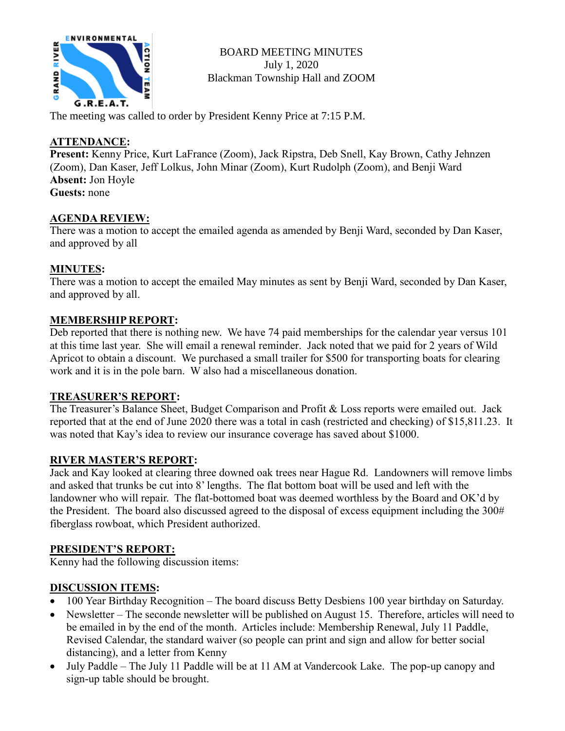

BOARD MEETING MINUTES July 1, 2020 Blackman Township Hall and ZOOM

The meeting was called to order by President Kenny Price at 7:15 P.M.

## **ATTENDANCE:**

**Present:** Kenny Price, Kurt LaFrance (Zoom), Jack Ripstra, Deb Snell, Kay Brown, Cathy Jehnzen (Zoom), Dan Kaser, Jeff Lolkus, John Minar (Zoom), Kurt Rudolph (Zoom), and Benji Ward **Absent:** Jon Hoyle **Guests:** none

### **AGENDA REVIEW:**

There was a motion to accept the emailed agenda as amended by Benji Ward, seconded by Dan Kaser, and approved by all

# **MINUTES:**

There was a motion to accept the emailed May minutes as sent by Benji Ward, seconded by Dan Kaser, and approved by all.

### **MEMBERSHIP REPORT:**

Deb reported that there is nothing new. We have 74 paid memberships for the calendar year versus 101 at this time last year. She will email a renewal reminder. Jack noted that we paid for 2 years of Wild Apricot to obtain a discount. We purchased a small trailer for \$500 for transporting boats for clearing work and it is in the pole barn. W also had a miscellaneous donation.

### **TREASURER'S REPORT:**

The Treasurer's Balance Sheet, Budget Comparison and Profit & Loss reports were emailed out. Jack reported that at the end of June 2020 there was a total in cash (restricted and checking) of \$15,811.23. It was noted that Kay's idea to review our insurance coverage has saved about \$1000.

### **RIVER MASTER'S REPORT:**

Jack and Kay looked at clearing three downed oak trees near Hague Rd. Landowners will remove limbs and asked that trunks be cut into 8' lengths. The flat bottom boat will be used and left with the landowner who will repair. The flat-bottomed boat was deemed worthless by the Board and OK'd by the President. The board also discussed agreed to the disposal of excess equipment including the 300# fiberglass rowboat, which President authorized.

### **PRESIDENT'S REPORT:**

Kenny had the following discussion items:

### **DISCUSSION ITEMS:**

- 100 Year Birthday Recognition The board discuss Betty Desbiens 100 year birthday on Saturday.
- Newsletter The seconde newsletter will be published on August 15. Therefore, articles will need to be emailed in by the end of the month. Articles include: Membership Renewal, July 11 Paddle, Revised Calendar, the standard waiver (so people can print and sign and allow for better social distancing), and a letter from Kenny
- July Paddle The July 11 Paddle will be at 11 AM at Vandercook Lake. The pop-up canopy and sign-up table should be brought.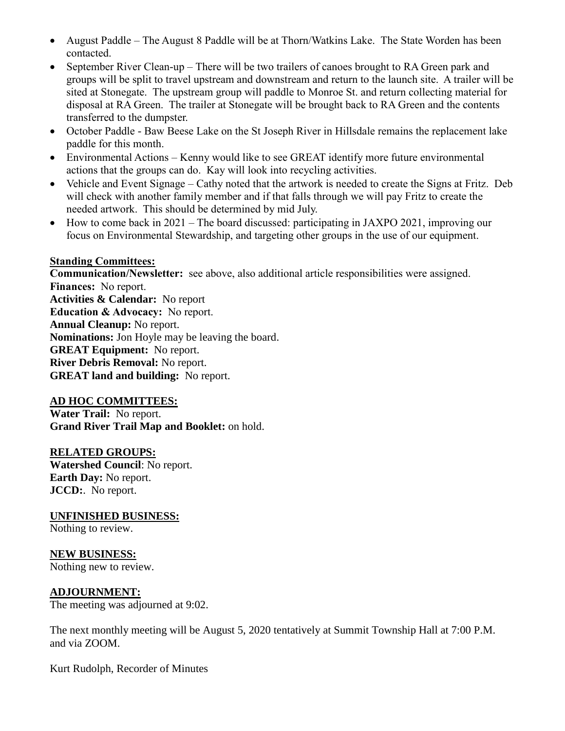- August Paddle The August 8 Paddle will be at Thorn/Watkins Lake. The State Worden has been contacted.
- September River Clean-up There will be two trailers of canoes brought to RA Green park and groups will be split to travel upstream and downstream and return to the launch site. A trailer will be sited at Stonegate. The upstream group will paddle to Monroe St. and return collecting material for disposal at RA Green. The trailer at Stonegate will be brought back to RA Green and the contents transferred to the dumpster.
- October Paddle Baw Beese Lake on the St Joseph River in Hillsdale remains the replacement lake paddle for this month.
- Environmental Actions Kenny would like to see GREAT identify more future environmental actions that the groups can do. Kay will look into recycling activities.
- Vehicle and Event Signage Cathy noted that the artwork is needed to create the Signs at Fritz. Deb will check with another family member and if that falls through we will pay Fritz to create the needed artwork. This should be determined by mid July.
- How to come back in 2021 The board discussed: participating in JAXPO 2021, improving our focus on Environmental Stewardship, and targeting other groups in the use of our equipment.

#### **Standing Committees:**

**Communication/Newsletter:** see above, also additional article responsibilities were assigned. **Finances:** No report. **Activities & Calendar:** No report **Education & Advocacy:** No report. **Annual Cleanup:** No report. **Nominations:** Jon Hoyle may be leaving the board. **GREAT Equipment:** No report. **River Debris Removal:** No report. **GREAT land and building:** No report.

### **AD HOC COMMITTEES:**

**Water Trail:** No report. **Grand River Trail Map and Booklet:** on hold.

### **RELATED GROUPS:**

**Watershed Council**: No report. **Earth Day:** No report. **JCCD:**. No report.

**UNFINISHED BUSINESS:**

Nothing to review.

**NEW BUSINESS:**

Nothing new to review.

### **ADJOURNMENT:**

The meeting was adjourned at 9:02.

The next monthly meeting will be August 5, 2020 tentatively at Summit Township Hall at 7:00 P.M. and via ZOOM.

Kurt Rudolph, Recorder of Minutes